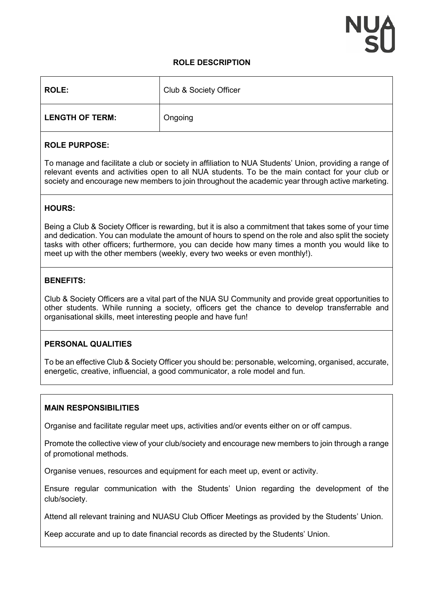## **ROLE DESCRIPTION**

| <b>ROLE:</b>           | Club & Society Officer |
|------------------------|------------------------|
| <b>LENGTH OF TERM:</b> | Ongoing                |

## **ROLE PURPOSE:**

To manage and facilitate a club or society in affiliation to NUA Students' Union, providing a range of relevant events and activities open to all NUA students. To be the main contact for your club or society and encourage new members to join throughout the academic year through active marketing.

# **HOURS:**

Being a Club & Society Officer is rewarding, but it is also a commitment that takes some of your time and dedication. You can modulate the amount of hours to spend on the role and also split the society tasks with other officers; furthermore, you can decide how many times a month you would like to meet up with the other members (weekly, every two weeks or even monthly!).

#### **BENEFITS:**

Club & Society Officers are a vital part of the NUA SU Community and provide great opportunities to other students. While running a society, officers get the chance to develop transferrable and organisational skills, meet interesting people and have fun!

#### **PERSONAL QUALITIES**

To be an effective Club & Society Officer you should be: personable, welcoming, organised, accurate, energetic, creative, influencial, a good communicator, a role model and fun.

#### **MAIN RESPONSIBILITIES**

Organise and facilitate regular meet ups, activities and/or events either on or off campus.

Promote the collective view of your club/society and encourage new members to join through a range of promotional methods.

Organise venues, resources and equipment for each meet up, event or activity.

Ensure regular communication with the Students' Union regarding the development of the club/society.

Attend all relevant training and NUASU Club Officer Meetings as provided by the Students' Union.

Keep accurate and up to date financial records as directed by the Students' Union.